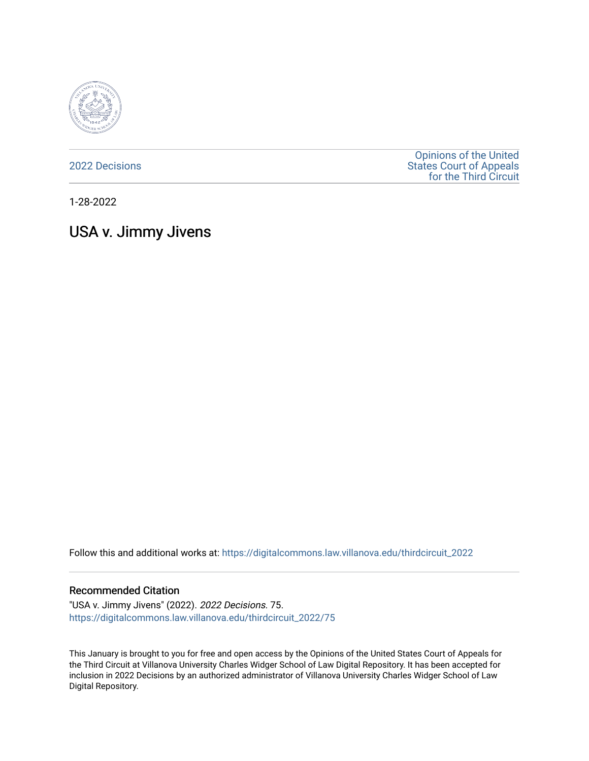

[2022 Decisions](https://digitalcommons.law.villanova.edu/thirdcircuit_2022)

[Opinions of the United](https://digitalcommons.law.villanova.edu/thirdcircuit)  [States Court of Appeals](https://digitalcommons.law.villanova.edu/thirdcircuit)  [for the Third Circuit](https://digitalcommons.law.villanova.edu/thirdcircuit) 

1-28-2022

# USA v. Jimmy Jivens

Follow this and additional works at: [https://digitalcommons.law.villanova.edu/thirdcircuit\\_2022](https://digitalcommons.law.villanova.edu/thirdcircuit_2022?utm_source=digitalcommons.law.villanova.edu%2Fthirdcircuit_2022%2F75&utm_medium=PDF&utm_campaign=PDFCoverPages) 

#### Recommended Citation

"USA v. Jimmy Jivens" (2022). 2022 Decisions. 75. [https://digitalcommons.law.villanova.edu/thirdcircuit\\_2022/75](https://digitalcommons.law.villanova.edu/thirdcircuit_2022/75?utm_source=digitalcommons.law.villanova.edu%2Fthirdcircuit_2022%2F75&utm_medium=PDF&utm_campaign=PDFCoverPages)

This January is brought to you for free and open access by the Opinions of the United States Court of Appeals for the Third Circuit at Villanova University Charles Widger School of Law Digital Repository. It has been accepted for inclusion in 2022 Decisions by an authorized administrator of Villanova University Charles Widger School of Law Digital Repository.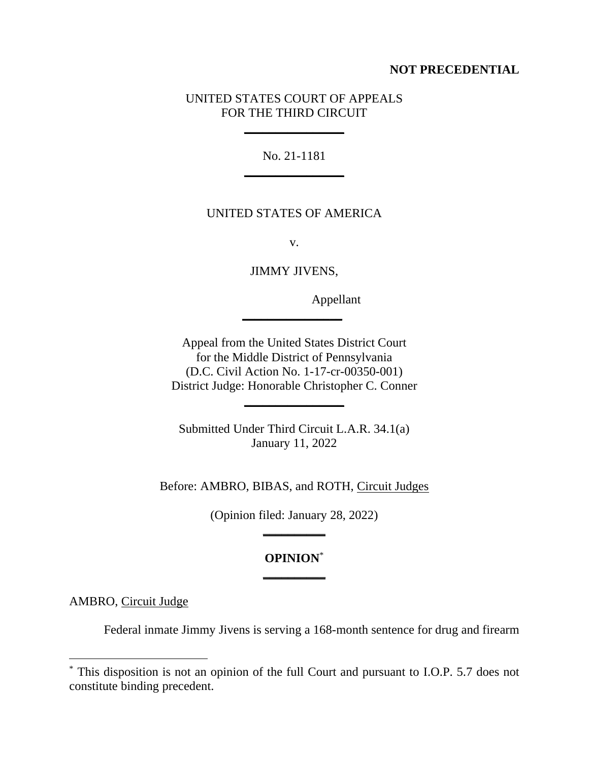## **NOT PRECEDENTIAL**

### UNITED STATES COURT OF APPEALS FOR THE THIRD CIRCUIT

**\_\_\_\_\_\_\_\_\_\_\_\_\_\_\_\_**

No. 21-1181 **\_\_\_\_\_\_\_\_\_\_\_\_\_\_\_\_**

## UNITED STATES OF AMERICA

v.

JIMMY JIVENS,

**\_\_\_\_\_\_\_\_\_\_\_\_\_\_\_\_**

Appellant

Appeal from the United States District Court for the Middle District of Pennsylvania (D.C. Civil Action No. 1-17-cr-00350-001) District Judge: Honorable Christopher C. Conner

**\_\_\_\_\_\_\_\_\_\_\_\_\_\_\_\_**

Submitted Under Third Circuit L.A.R. 34.1(a) January 11, 2022

Before: AMBRO, BIBAS, and ROTH, Circuit Judges

(Opinion filed: January 28, 2022) **\_\_\_\_\_\_\_\_\_\_**

# **OPINION**\* **\_\_\_\_\_\_\_\_\_\_**

AMBRO, Circuit Judge

Federal inmate Jimmy Jivens is serving a 168-month sentence for drug and firearm

<sup>\*</sup> This disposition is not an opinion of the full Court and pursuant to I.O.P. 5.7 does not constitute binding precedent.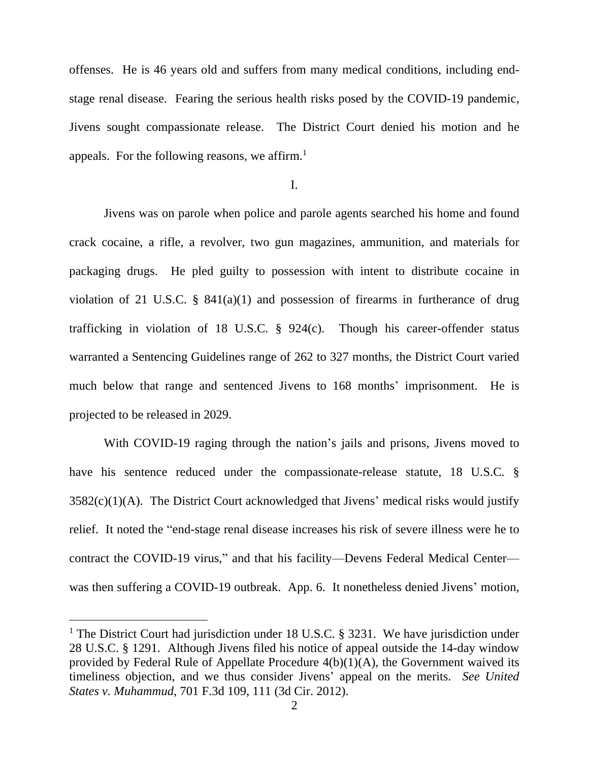offenses. He is 46 years old and suffers from many medical conditions, including endstage renal disease. Fearing the serious health risks posed by the COVID-19 pandemic, Jivens sought compassionate release. The District Court denied his motion and he appeals. For the following reasons, we affirm.<sup>1</sup>

I.

Jivens was on parole when police and parole agents searched his home and found crack cocaine, a rifle, a revolver, two gun magazines, ammunition, and materials for packaging drugs. He pled guilty to possession with intent to distribute cocaine in violation of 21 U.S.C.  $\S$  841(a)(1) and possession of firearms in furtherance of drug trafficking in violation of 18 U.S.C. § 924(c). Though his career-offender status warranted a Sentencing Guidelines range of 262 to 327 months, the District Court varied much below that range and sentenced Jivens to 168 months' imprisonment. He is projected to be released in 2029.

With COVID-19 raging through the nation's jails and prisons, Jivens moved to have his sentence reduced under the compassionate-release statute, 18 U.S.C. §  $3582(c)(1)(A)$ . The District Court acknowledged that Jivens' medical risks would justify relief. It noted the "end-stage renal disease increases his risk of severe illness were he to contract the COVID-19 virus," and that his facility—Devens Federal Medical Center was then suffering a COVID-19 outbreak. App. 6. It nonetheless denied Jivens' motion,

<sup>&</sup>lt;sup>1</sup> The District Court had jurisdiction under 18 U.S.C.  $\S$  3231. We have jurisdiction under 28 U.S.C. § 1291. Although Jivens filed his notice of appeal outside the 14-day window provided by Federal Rule of Appellate Procedure 4(b)(1)(A), the Government waived its timeliness objection, and we thus consider Jivens' appeal on the merits. *See United States v. Muhammud*, 701 F.3d 109, 111 (3d Cir. 2012).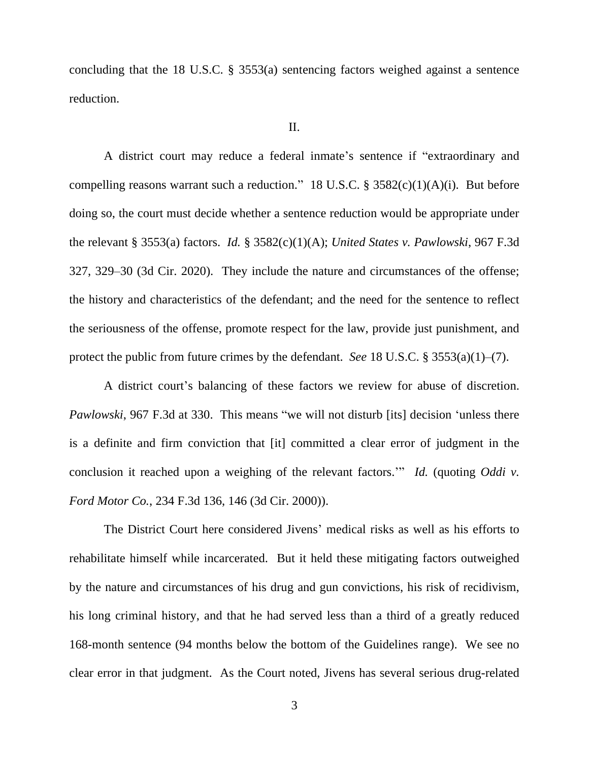concluding that the 18 U.S.C. § 3553(a) sentencing factors weighed against a sentence reduction.

#### II.

A district court may reduce a federal inmate's sentence if "extraordinary and compelling reasons warrant such a reduction." 18 U.S.C.  $\S$  3582(c)(1)(A)(i). But before doing so, the court must decide whether a sentence reduction would be appropriate under the relevant § 3553(a) factors. *Id.* § 3582(c)(1)(A); *United States v. Pawlowski*, 967 F.3d 327, 329–30 (3d Cir. 2020). They include the nature and circumstances of the offense; the history and characteristics of the defendant; and the need for the sentence to reflect the seriousness of the offense, promote respect for the law, provide just punishment, and protect the public from future crimes by the defendant. *See* 18 U.S.C. § 3553(a)(1)–(7).

A district court's balancing of these factors we review for abuse of discretion. *Pawlowski*, 967 F.3d at 330. This means "we will not disturb [its] decision 'unless there is a definite and firm conviction that [it] committed a clear error of judgment in the conclusion it reached upon a weighing of the relevant factors.'" *Id.* (quoting *Oddi v. Ford Motor Co.*, 234 F.3d 136, 146 (3d Cir. 2000)).

The District Court here considered Jivens' medical risks as well as his efforts to rehabilitate himself while incarcerated. But it held these mitigating factors outweighed by the nature and circumstances of his drug and gun convictions, his risk of recidivism, his long criminal history, and that he had served less than a third of a greatly reduced 168-month sentence (94 months below the bottom of the Guidelines range). We see no clear error in that judgment. As the Court noted, Jivens has several serious drug-related